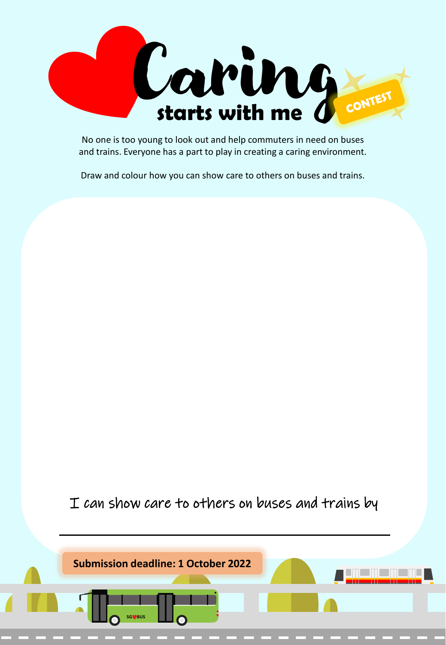

No one is too young to look out and help commuters in need on buses and trains. Everyone has a part to play in creating a caring environment.

Draw and colour how you can show care to others on buses and trains.

I can show care to others on buses and trains by